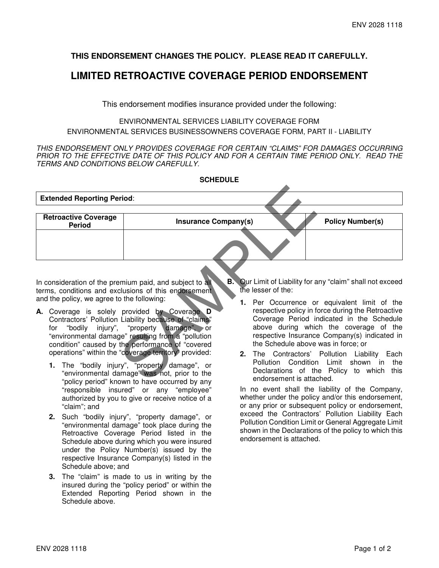## **THIS ENDORSEMENT CHANGES THE POLICY. PLEASE READ IT CAREFULLY.**

## **LIMITED RETROACTIVE COVERAGE PERIOD ENDORSEMENT**

This endorsement modifies insurance provided under the following:

## ENVIRONMENTAL SERVICES LIABILITY COVERAGE FORM ENVIRONMENTAL SERVICES BUSINESSOWNERS COVERAGE FORM, PART II - LIABILITY

THIS ENDORSEMENT ONLY PROVIDES COVERAGE FOR CERTAIN "CLAIMS" FOR DAMAGES OCCURRING PRIOR TO THE EFFECTIVE DATE OF THIS POLICY AND FOR A CERTAIN TIME PERIOD ONLY. READ THE TERMS AND CONDITIONS BELOW CAREFULLY.

|                                                                                                                                                                                                                                                                                                                                                                                                                                                                                                | <b>SCHEDULE</b>                                                                                                                             |                                       |                                                                                                                                                                                                                                                                                                                                                                                                                                                                                             |  |  |                     |
|------------------------------------------------------------------------------------------------------------------------------------------------------------------------------------------------------------------------------------------------------------------------------------------------------------------------------------------------------------------------------------------------------------------------------------------------------------------------------------------------|---------------------------------------------------------------------------------------------------------------------------------------------|---------------------------------------|---------------------------------------------------------------------------------------------------------------------------------------------------------------------------------------------------------------------------------------------------------------------------------------------------------------------------------------------------------------------------------------------------------------------------------------------------------------------------------------------|--|--|---------------------|
| <b>Extended Reporting Period:</b>                                                                                                                                                                                                                                                                                                                                                                                                                                                              |                                                                                                                                             |                                       |                                                                                                                                                                                                                                                                                                                                                                                                                                                                                             |  |  |                     |
| <b>Retroactive Coverage</b><br><b>Period</b>                                                                                                                                                                                                                                                                                                                                                                                                                                                   | <b>Insurance Company(s)</b>                                                                                                                 |                                       | <b>Policy Number(s)</b>                                                                                                                                                                                                                                                                                                                                                                                                                                                                     |  |  |                     |
|                                                                                                                                                                                                                                                                                                                                                                                                                                                                                                |                                                                                                                                             |                                       |                                                                                                                                                                                                                                                                                                                                                                                                                                                                                             |  |  |                     |
| In consideration of the premium paid, and subject to all<br>terms, conditions and exclusions of this endorsement<br>and the policy, we agree to the following:<br>A. Coverage is solely provided by Coverage D<br>Contractors' Pollution Liability because of "claims"<br>for "bodily injury", "property damage", or<br>"environmental damage" resulting from a "pollution"<br>condition" caused by the performance of "covered<br>operations" within the "coverage territory" provided:<br>1. | The "bodily injury", "property damage", or<br>"environmental damage" was not, prior to the<br>"policy period" known to have occurred by any | <b>B.</b><br>the lesser of the:<br>2. | Our Limit of Liability for any "claim" shall not exceed<br>1. Per Occurrence or equivalent limit of the<br>respective policy in force during the Retroactive<br>Coverage Period indicated in the Schedule<br>above during which the coverage of the<br>respective Insurance Company(s) indicated in<br>the Schedule above was in force; or<br>The Contractors' Pollution Liability<br>Pollution Condition Limit shown in<br>Declarations of the Policy to which<br>endorsement is attached. |  |  | Each<br>the<br>this |

- **A.** Coverage is solely provided by Coverage **D** Contractors' Pollution Liability because of "claims"<br>for "bodily injury", "property damage", or "property damage", or "environmental damage" resulting from a "pollution condition" caused by the performance of "covered operations" within the "coverage territory" provided:
	- **1.** The "bodily injury", "property damage", or "environmental damage" was not, prior to the "policy period" known to have occurred by any "responsible insured" or any "employee" authorized by you to give or receive notice of a "claim"; and
	- **2.** Such "bodily injury", "property damage", or "environmental damage" took place during the Retroactive Coverage Period listed in the Schedule above during which you were insured under the Policy Number(s) issued by the respective Insurance Company(s) listed in the Schedule above; and
	- **3.** The "claim" is made to us in writing by the insured during the "policy period" or within the Extended Reporting Period shown in the Schedule above.
- **B.** Our Limit of Liability for any "claim" shall not exceed the lesser of the:
	- **1.** Per Occurrence or equivalent limit of the respective policy in force during the Retroactive Coverage Period indicated in the Schedule above during which the coverage of the respective Insurance Company(s) indicated in the Schedule above was in force; or
	- **2.** The Contractors' Pollution Liability Each Pollution Condition Limit shown in the Declarations of the Policy to which this endorsement is attached.

In no event shall the liability of the Company, whether under the policy and/or this endorsement, or any prior or subsequent policy or endorsement, exceed the Contractors' Pollution Liability Each Pollution Condition Limit or General Aggregate Limit shown in the Declarations of the policy to which this endorsement is attached.